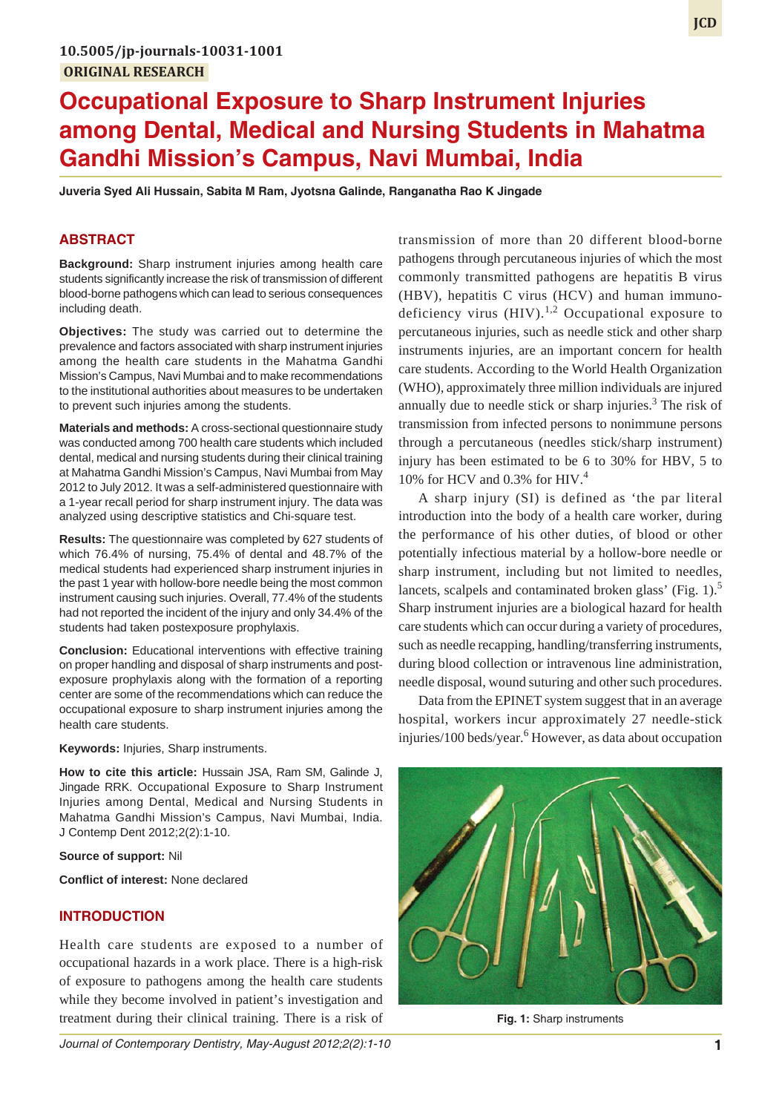# **Occupational Exposure to Sharp Instrument Injuries among Dental, Medical and Nursing Students in Mahatma Gandhi Mission's Campus, Navi Mumbai, India**

**Juveria Syed Ali Hussain, Sabita M Ram, Jyotsna Galinde, Ranganatha Rao K Jingade**

## **ABSTRACT**

**Background:** Sharp instrument injuries among health care students significantly increase the risk of transmission of different blood-borne pathogens which can lead to serious consequences including death.

**Objectives:** The study was carried out to determine the prevalence and factors associated with sharp instrument injuries among the health care students in the Mahatma Gandhi Mission's Campus, Navi Mumbai and to make recommendations to the institutional authorities about measures to be undertaken to prevent such injuries among the students.

**Materials and methods:** A cross-sectional questionnaire study was conducted among 700 health care students which included dental, medical and nursing students during their clinical training at Mahatma Gandhi Mission's Campus, Navi Mumbai from May 2012 to July 2012. It was a self-administered questionnaire with a 1-year recall period for sharp instrument injury. The data was analyzed using descriptive statistics and Chi-square test.

**Results:** The questionnaire was completed by 627 students of which 76.4% of nursing, 75.4% of dental and 48.7% of the medical students had experienced sharp instrument injuries in the past 1 year with hollow-bore needle being the most common instrument causing such injuries. Overall, 77.4% of the students had not reported the incident of the injury and only 34.4% of the students had taken postexposure prophylaxis.

**Conclusion:** Educational interventions with effective training on proper handling and disposal of sharp instruments and postexposure prophylaxis along with the formation of a reporting center are some of the recommendations which can reduce the occupational exposure to sharp instrument injuries among the health care students.

**Keywords:** Injuries, Sharp instruments.

**How to cite this article:** Hussain JSA, Ram SM, Galinde J, Jingade RRK. Occupational Exposure to Sharp Instrument Injuries among Dental, Medical and Nursing Students in Mahatma Gandhi Mission's Campus, Navi Mumbai, India. J Contemp Dent 2012;2(2):1-10.

**Source of support:** Nil

**Conflict of interest:** None declared

#### **INTRODUCTION**

Health care students are exposed to a number of occupational hazards in a work place. There is a high-risk of exposure to pathogens among the health care students while they become involved in patient's investigation and treatment during their clinical training. There is a risk of

*Journal of Contemporary Dentistry, May-August 2012;2(2):1-10* **1**

transmission of more than 20 different blood-borne pathogens through percutaneous injuries of which the most commonly transmitted pathogens are hepatitis B virus (HBV), hepatitis C virus (HCV) and human immunodeficiency virus  $(HIV).<sup>1,2</sup>$  Occupational exposure to percutaneous injuries, such as needle stick and other sharp instruments injuries, are an important concern for health care students. According to the World Health Organization (WHO), approximately three million individuals are injured annually due to needle stick or sharp injuries. $3$  The risk of transmission from infected persons to nonimmune persons through a percutaneous (needles stick/sharp instrument) injury has been estimated to be 6 to 30% for HBV, 5 to 10% for HCV and 0.3% for HIV.<sup>4</sup>

A sharp injury (SI) is defined as 'the par literal introduction into the body of a health care worker, during the performance of his other duties, of blood or other potentially infectious material by a hollow-bore needle or sharp instrument, including but not limited to needles, lancets, scalpels and contaminated broken glass' (Fig. 1).<sup>5</sup> Sharp instrument injuries are a biological hazard for health care students which can occur during a variety of procedures, such as needle recapping, handling/transferring instruments, during blood collection or intravenous line administration, needle disposal, wound suturing and other such procedures.

Data from the EPINET system suggest that in an average hospital, workers incur approximately 27 needle-stick injuries/100 beds/year.<sup>6</sup> However, as data about occupation



**Fig. 1:** Sharp instruments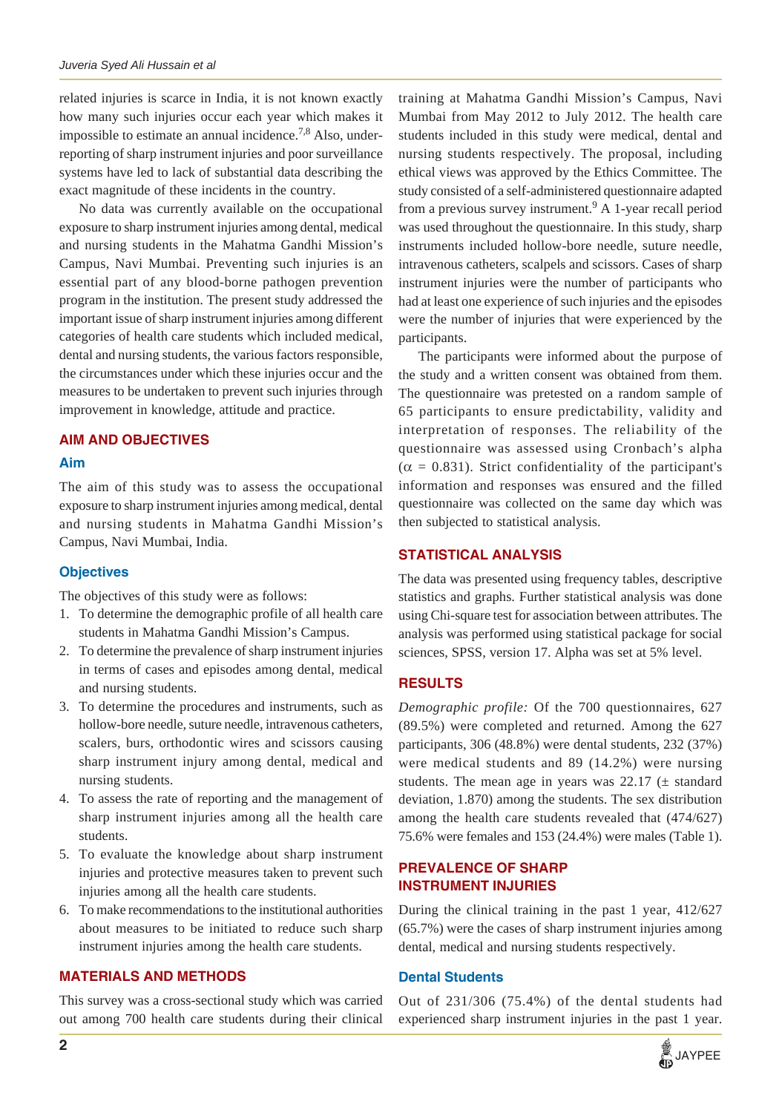related injuries is scarce in India, it is not known exactly how many such injuries occur each year which makes it impossible to estimate an annual incidence.<sup>7,8</sup> Also, underreporting of sharp instrument injuries and poor surveillance systems have led to lack of substantial data describing the exact magnitude of these incidents in the country.

No data was currently available on the occupational exposure to sharp instrument injuries among dental, medical and nursing students in the Mahatma Gandhi Mission's Campus, Navi Mumbai. Preventing such injuries is an essential part of any blood-borne pathogen prevention program in the institution. The present study addressed the important issue of sharp instrument injuries among different categories of health care students which included medical, dental and nursing students, the various factors responsible, the circumstances under which these injuries occur and the measures to be undertaken to prevent such injuries through improvement in knowledge, attitude and practice.

## **AIM AND OBJECTIVES**

#### **Aim**

The aim of this study was to assess the occupational exposure to sharp instrument injuries among medical, dental and nursing students in Mahatma Gandhi Mission's Campus, Navi Mumbai, India.

#### **Objectives**

The objectives of this study were as follows:

- 1. To determine the demographic profile of all health care students in Mahatma Gandhi Mission's Campus.
- 2. To determine the prevalence of sharp instrument injuries in terms of cases and episodes among dental, medical and nursing students.
- 3. To determine the procedures and instruments, such as hollow-bore needle, suture needle, intravenous catheters, scalers, burs, orthodontic wires and scissors causing sharp instrument injury among dental, medical and nursing students.
- 4. To assess the rate of reporting and the management of sharp instrument injuries among all the health care students.
- 5. To evaluate the knowledge about sharp instrument injuries and protective measures taken to prevent such injuries among all the health care students.
- 6. To make recommendations to the institutional authorities about measures to be initiated to reduce such sharp instrument injuries among the health care students.

#### **MATERIALS AND METHODS**

This survey was a cross-sectional study which was carried out among 700 health care students during their clinical training at Mahatma Gandhi Mission's Campus, Navi Mumbai from May 2012 to July 2012. The health care students included in this study were medical, dental and nursing students respectively. The proposal, including ethical views was approved by the Ethics Committee. The study consisted of a self-administered questionnaire adapted from a previous survey instrument.<sup>9</sup> A 1-year recall period was used throughout the questionnaire. In this study, sharp instruments included hollow-bore needle, suture needle, intravenous catheters, scalpels and scissors. Cases of sharp instrument injuries were the number of participants who had at least one experience of such injuries and the episodes were the number of injuries that were experienced by the participants.

The participants were informed about the purpose of the study and a written consent was obtained from them. The questionnaire was pretested on a random sample of 65 participants to ensure predictability, validity and interpretation of responses. The reliability of the questionnaire was assessed using Cronbach's alpha  $(\alpha = 0.831)$ . Strict confidentiality of the participant's information and responses was ensured and the filled questionnaire was collected on the same day which was then subjected to statistical analysis.

#### **STATISTICAL ANALYSIS**

The data was presented using frequency tables, descriptive statistics and graphs. Further statistical analysis was done using Chi-square test for association between attributes. The analysis was performed using statistical package for social sciences, SPSS, version 17. Alpha was set at 5% level.

#### **RESULTS**

*Demographic profile:* Of the 700 questionnaires, 627 (89.5%) were completed and returned. Among the 627 participants, 306 (48.8%) were dental students, 232 (37%) were medical students and 89 (14.2%) were nursing students. The mean age in years was  $22.17$  ( $\pm$  standard deviation, 1.870) among the students. The sex distribution among the health care students revealed that (474/627) 75.6% were females and 153 (24.4%) were males (Table 1).

## **PREVALENCE OF SHARP INSTRUMENT INJURIES**

During the clinical training in the past 1 year, 412/627 (65.7%) were the cases of sharp instrument injuries among dental, medical and nursing students respectively.

#### **Dental Students**

Out of 231/306 (75.4%) of the dental students had experienced sharp instrument injuries in the past 1 year.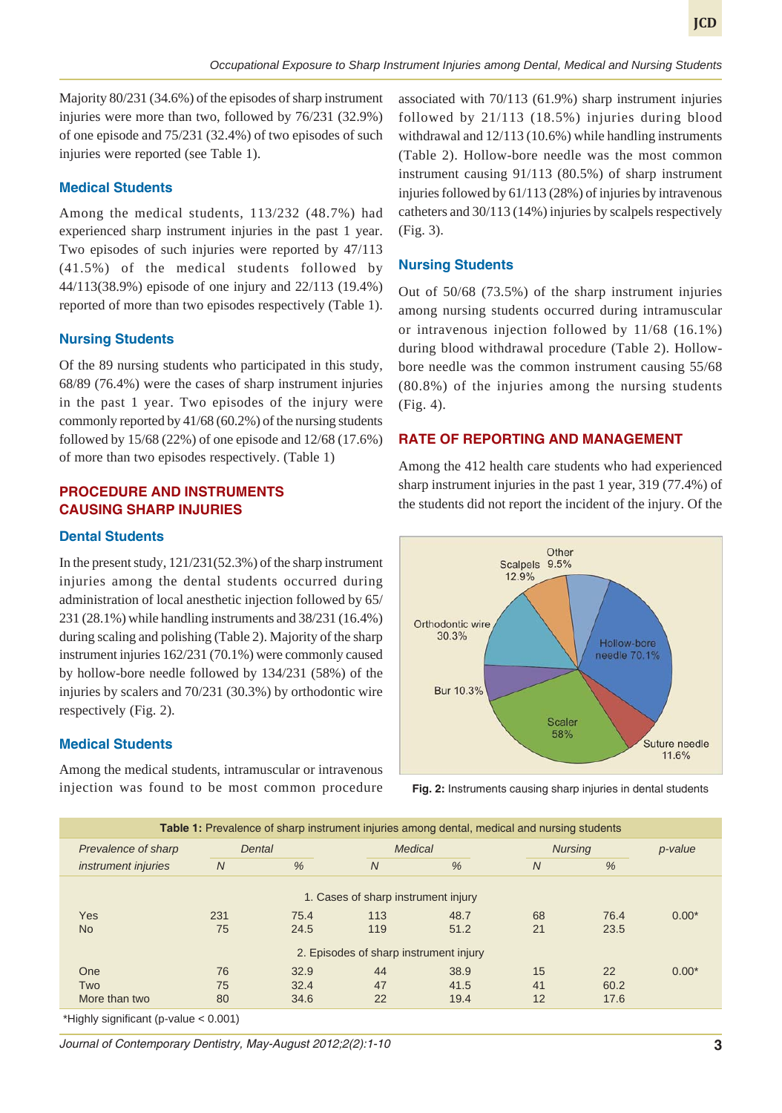Majority 80/231 (34.6%) of the episodes of sharp instrument injuries were more than two, followed by 76/231 (32.9%) of one episode and 75/231 (32.4%) of two episodes of such injuries were reported (see Table 1).

#### **Medical Students**

Among the medical students, 113/232 (48.7%) had experienced sharp instrument injuries in the past 1 year. Two episodes of such injuries were reported by 47/113 (41.5%) of the medical students followed by 44/113(38.9%) episode of one injury and 22/113 (19.4%) reported of more than two episodes respectively (Table 1).

#### **Nursing Students**

Of the 89 nursing students who participated in this study, 68/89 (76.4%) were the cases of sharp instrument injuries in the past 1 year. Two episodes of the injury were commonly reported by 41/68 (60.2%) of the nursing students followed by 15/68 (22%) of one episode and 12/68 (17.6%) of more than two episodes respectively. (Table 1)

# **PROCEDURE AND INSTRUMENTS CAUSING SHARP INJURIES**

### **Dental Students**

In the present study, 121/231(52.3%) of the sharp instrument injuries among the dental students occurred during administration of local anesthetic injection followed by 65/ 231 (28.1%) while handling instruments and 38/231 (16.4%) during scaling and polishing (Table 2). Majority of the sharp instrument injuries 162/231 (70.1%) were commonly caused by hollow-bore needle followed by 134/231 (58%) of the injuries by scalers and 70/231 (30.3%) by orthodontic wire respectively (Fig. 2).

## **Medical Students**

Among the medical students, intramuscular or intravenous injection was found to be most common procedure

associated with 70/113 (61.9%) sharp instrument injuries followed by 21/113 (18.5%) injuries during blood withdrawal and 12/113 (10.6%) while handling instruments (Table 2). Hollow-bore needle was the most common instrument causing 91/113 (80.5%) of sharp instrument injuries followed by 61/113 (28%) of injuries by intravenous catheters and 30/113 (14%) injuries by scalpels respectively (Fig. 3).

## **Nursing Students**

Out of 50/68 (73.5%) of the sharp instrument injuries among nursing students occurred during intramuscular or intravenous injection followed by 11/68 (16.1%) during blood withdrawal procedure (Table 2). Hollowbore needle was the common instrument causing 55/68 (80.8%) of the injuries among the nursing students (Fig. 4).

## **RATE OF REPORTING AND MANAGEMENT**

Among the 412 health care students who had experienced sharp instrument injuries in the past 1 year, 319 (77.4%) of the students did not report the incident of the injury. Of the



**Fig. 2:** Instruments causing sharp injuries in dental students

| $\overline{N}$                         | <b>Nursing</b><br>% | p-value |  |  |  |  |  |  |
|----------------------------------------|---------------------|---------|--|--|--|--|--|--|
|                                        |                     |         |  |  |  |  |  |  |
|                                        |                     |         |  |  |  |  |  |  |
|                                        |                     |         |  |  |  |  |  |  |
| 68                                     | 76.4                | $0.00*$ |  |  |  |  |  |  |
| 21                                     | 23.5                |         |  |  |  |  |  |  |
| 2. Episodes of sharp instrument injury |                     |         |  |  |  |  |  |  |
| 15                                     | 22                  | $0.00*$ |  |  |  |  |  |  |
| 41                                     | 60.2                |         |  |  |  |  |  |  |
| 12                                     | 17.6                |         |  |  |  |  |  |  |
|                                        |                     |         |  |  |  |  |  |  |

\*Highly significant (p-value < 0.001)

*Journal of Contemporary Dentistry, May-August 2012;2(2):1-10* **3**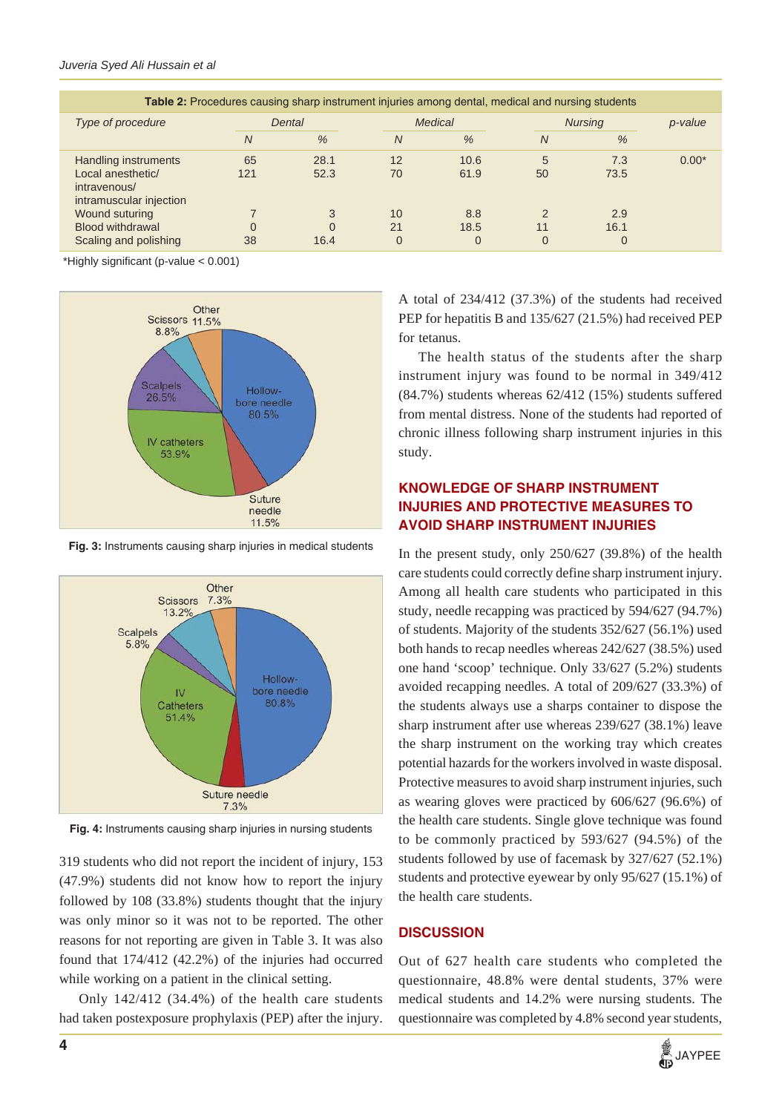| <b>Table 2:</b> Procedures causing sharp instrument injuries among dental, medical and nursing students |                |                       |                      |                         |                |                         |         |  |  |
|---------------------------------------------------------------------------------------------------------|----------------|-----------------------|----------------------|-------------------------|----------------|-------------------------|---------|--|--|
| Type of procedure                                                                                       | Dental         |                       | Medical              |                         | <b>Nursing</b> |                         | p-value |  |  |
|                                                                                                         | $\overline{N}$ | $\%$                  | N                    | $\%$                    | N              | $\frac{0}{6}$           |         |  |  |
| Handling instruments<br>Local anesthetic/<br>intravenous/<br>intramuscular injection                    | 65<br>121      | 28.1<br>52.3          | 12<br>70             | 10.6<br>61.9            | 5<br>50        | 7.3<br>73.5             | $0.00*$ |  |  |
| Wound suturing<br><b>Blood withdrawal</b><br>Scaling and polishing                                      | 38             | 3<br>$\Omega$<br>16.4 | 10<br>21<br>$\Omega$ | 8.8<br>18.5<br>$\Omega$ | 11<br>$\Omega$ | 2.9<br>16.1<br>$\Omega$ |         |  |  |

\*Highly significant (p-value < 0.001)



**Fig. 3:** Instruments causing sharp injuries in medical students



**Fig. 4:** Instruments causing sharp injuries in nursing students

319 students who did not report the incident of injury, 153 (47.9%) students did not know how to report the injury followed by 108 (33.8%) students thought that the injury was only minor so it was not to be reported. The other reasons for not reporting are given in Table 3. It was also found that 174/412 (42.2%) of the injuries had occurred while working on a patient in the clinical setting.

Only 142/412 (34.4%) of the health care students had taken postexposure prophylaxis (PEP) after the injury. A total of 234/412 (37.3%) of the students had received PEP for hepatitis B and 135/627 (21.5%) had received PEP for tetanus.

The health status of the students after the sharp instrument injury was found to be normal in 349/412 (84.7%) students whereas 62/412 (15%) students suffered from mental distress. None of the students had reported of chronic illness following sharp instrument injuries in this study.

# **KNOWLEDGE OF SHARP INSTRUMENT INJURIES AND PROTECTIVE MEASURES TO AVOID SHARP INSTRUMENT INJURIES**

In the present study, only 250/627 (39.8%) of the health care students could correctly define sharp instrument injury. Among all health care students who participated in this study, needle recapping was practiced by 594/627 (94.7%) of students. Majority of the students 352/627 (56.1%) used both hands to recap needles whereas 242/627 (38.5%) used one hand 'scoop' technique. Only 33/627 (5.2%) students avoided recapping needles. A total of 209/627 (33.3%) of the students always use a sharps container to dispose the sharp instrument after use whereas 239/627 (38.1%) leave the sharp instrument on the working tray which creates potential hazards for the workers involved in waste disposal. Protective measures to avoid sharp instrument injuries, such as wearing gloves were practiced by 606/627 (96.6%) of the health care students. Single glove technique was found to be commonly practiced by 593/627 (94.5%) of the students followed by use of facemask by 327/627 (52.1%) students and protective eyewear by only 95/627 (15.1%) of the health care students.

# **DISCUSSION**

Out of 627 health care students who completed the questionnaire, 48.8% were dental students, 37% were medical students and 14.2% were nursing students. The questionnaire was completed by 4.8% second year students,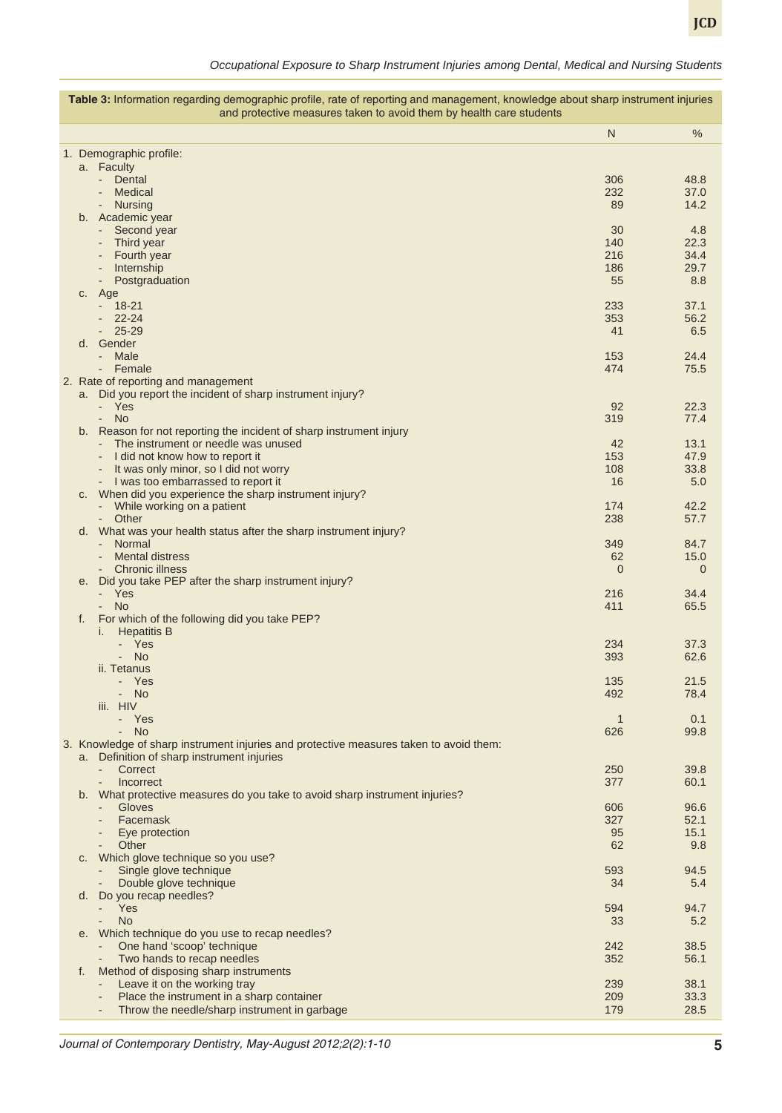*Occupational Exposure to Sharp Instrument Injuries among Dental, Medical and Nursing Students*

| Table 3: Information regarding demographic profile, rate of reporting and management, knowledge about sharp instrument injuries<br>and protective measures taken to avoid them by health care students |                                                                                                                                      |                    |                        |  |  |  |
|--------------------------------------------------------------------------------------------------------------------------------------------------------------------------------------------------------|--------------------------------------------------------------------------------------------------------------------------------------|--------------------|------------------------|--|--|--|
|                                                                                                                                                                                                        |                                                                                                                                      | $\mathsf{N}$       | $\%$                   |  |  |  |
|                                                                                                                                                                                                        | 1. Demographic profile:                                                                                                              |                    |                        |  |  |  |
|                                                                                                                                                                                                        | a. Faculty                                                                                                                           |                    |                        |  |  |  |
|                                                                                                                                                                                                        | - Dental                                                                                                                             | 306                | 48.8                   |  |  |  |
|                                                                                                                                                                                                        | Medical                                                                                                                              | 232                | 37.0                   |  |  |  |
|                                                                                                                                                                                                        | <b>Nursing</b>                                                                                                                       | 89                 | 14.2                   |  |  |  |
|                                                                                                                                                                                                        | b. Academic year<br>Second year<br>$\overline{\phantom{a}}$                                                                          | 30                 | 4.8                    |  |  |  |
|                                                                                                                                                                                                        | Third year<br>$\overline{\phantom{a}}$                                                                                               | 140                | 22.3                   |  |  |  |
|                                                                                                                                                                                                        | Fourth year                                                                                                                          | 216                | 34.4                   |  |  |  |
|                                                                                                                                                                                                        | Internship                                                                                                                           | 186                | 29.7                   |  |  |  |
|                                                                                                                                                                                                        | Postgraduation<br>c. Age                                                                                                             | 55                 | 8.8                    |  |  |  |
|                                                                                                                                                                                                        | $18 - 21$<br>÷.                                                                                                                      | 233                | 37.1                   |  |  |  |
|                                                                                                                                                                                                        | $22 - 24$                                                                                                                            | 353                | 56.2                   |  |  |  |
|                                                                                                                                                                                                        | $25 - 29$                                                                                                                            | 41                 | 6.5                    |  |  |  |
|                                                                                                                                                                                                        | d. Gender                                                                                                                            |                    |                        |  |  |  |
|                                                                                                                                                                                                        | Male<br>Female                                                                                                                       | 153<br>474         | 24.4<br>75.5           |  |  |  |
|                                                                                                                                                                                                        | 2. Rate of reporting and management                                                                                                  |                    |                        |  |  |  |
|                                                                                                                                                                                                        | a. Did you report the incident of sharp instrument injury?                                                                           |                    |                        |  |  |  |
|                                                                                                                                                                                                        | - Yes                                                                                                                                | 92                 | 22.3                   |  |  |  |
|                                                                                                                                                                                                        | - No<br>b. Reason for not reporting the incident of sharp instrument injury                                                          | 319                | 77.4                   |  |  |  |
|                                                                                                                                                                                                        | The instrument or needle was unused                                                                                                  | 42                 | 13.1                   |  |  |  |
|                                                                                                                                                                                                        | I did not know how to report it<br>$\overline{\phantom{a}}$                                                                          | 153                | 47.9                   |  |  |  |
|                                                                                                                                                                                                        | It was only minor, so I did not worry                                                                                                | 108                | 33.8                   |  |  |  |
|                                                                                                                                                                                                        | - I was too embarrassed to report it                                                                                                 | 16                 | 5.0                    |  |  |  |
|                                                                                                                                                                                                        | c. When did you experience the sharp instrument injury?<br>- While working on a patient                                              | 174                | 42.2                   |  |  |  |
|                                                                                                                                                                                                        | - Other                                                                                                                              | 238                | 57.7                   |  |  |  |
|                                                                                                                                                                                                        | d. What was your health status after the sharp instrument injury?                                                                    |                    |                        |  |  |  |
|                                                                                                                                                                                                        | - Normal                                                                                                                             | 349                | 84.7                   |  |  |  |
|                                                                                                                                                                                                        | <b>Mental distress</b><br><b>Chronic illness</b>                                                                                     | 62<br>$\mathbf{0}$ | 15.0<br>$\overline{0}$ |  |  |  |
|                                                                                                                                                                                                        | e. Did you take PEP after the sharp instrument injury?                                                                               |                    |                        |  |  |  |
|                                                                                                                                                                                                        | Yes<br>$\mathcal{L}_{\mathcal{A}}$                                                                                                   | 216                | 34.4                   |  |  |  |
|                                                                                                                                                                                                        | <b>No</b><br>$\sim$                                                                                                                  | 411                | 65.5                   |  |  |  |
|                                                                                                                                                                                                        | For which of the following did you take PEP?<br>f.<br><b>Hepatitis B</b><br>I.                                                       |                    |                        |  |  |  |
|                                                                                                                                                                                                        | Yes                                                                                                                                  | 234                | 37.3                   |  |  |  |
|                                                                                                                                                                                                        | <b>No</b>                                                                                                                            | 393                | 62.6                   |  |  |  |
|                                                                                                                                                                                                        | ii. Tetanus                                                                                                                          |                    |                        |  |  |  |
|                                                                                                                                                                                                        | Yes<br>- No                                                                                                                          | 135<br>492         | 21.5<br>78.4           |  |  |  |
|                                                                                                                                                                                                        | iii. HIV                                                                                                                             |                    |                        |  |  |  |
|                                                                                                                                                                                                        | - Yes                                                                                                                                | $\mathbf{1}$       | 0.1                    |  |  |  |
|                                                                                                                                                                                                        | - No                                                                                                                                 | 626                | 99.8                   |  |  |  |
|                                                                                                                                                                                                        | 3. Knowledge of sharp instrument injuries and protective measures taken to avoid them:<br>a. Definition of sharp instrument injuries |                    |                        |  |  |  |
|                                                                                                                                                                                                        | Correct<br>÷.                                                                                                                        | 250                | 39.8                   |  |  |  |
|                                                                                                                                                                                                        | Incorrect                                                                                                                            | 377                | 60.1                   |  |  |  |
|                                                                                                                                                                                                        | b. What protective measures do you take to avoid sharp instrument injuries?                                                          |                    |                        |  |  |  |
|                                                                                                                                                                                                        | Gloves<br>Facemask<br>$\overline{\phantom{a}}$                                                                                       | 606<br>327         | 96.6<br>52.1           |  |  |  |
|                                                                                                                                                                                                        | Eye protection                                                                                                                       | 95                 | 15.1                   |  |  |  |
|                                                                                                                                                                                                        | Other                                                                                                                                | 62                 | 9.8                    |  |  |  |
|                                                                                                                                                                                                        | Which glove technique so you use?<br>C.                                                                                              |                    |                        |  |  |  |
|                                                                                                                                                                                                        | Single glove technique<br>Double glove technique                                                                                     | 593<br>34          | 94.5<br>5.4            |  |  |  |
|                                                                                                                                                                                                        | d. Do you recap needles?                                                                                                             |                    |                        |  |  |  |
|                                                                                                                                                                                                        | Yes<br>$\overline{\phantom{0}}$                                                                                                      | 594                | 94.7                   |  |  |  |
|                                                                                                                                                                                                        | <b>No</b>                                                                                                                            | 33                 | 5.2                    |  |  |  |
|                                                                                                                                                                                                        | e. Which technique do you use to recap needles?<br>One hand 'scoop' technique<br>$\overline{\phantom{a}}$                            | 242                | 38.5                   |  |  |  |
|                                                                                                                                                                                                        | Two hands to recap needles                                                                                                           | 352                | 56.1                   |  |  |  |
|                                                                                                                                                                                                        | Method of disposing sharp instruments<br>f.                                                                                          |                    |                        |  |  |  |
|                                                                                                                                                                                                        | Leave it on the working tray                                                                                                         | 239                | 38.1                   |  |  |  |
|                                                                                                                                                                                                        | Place the instrument in a sharp container                                                                                            | 209                | 33.3                   |  |  |  |
|                                                                                                                                                                                                        | Throw the needle/sharp instrument in garbage                                                                                         | 179                | 28.5                   |  |  |  |

*Journal of Contemporary Dentistry, May-August 2012;2(2):1-10* **5**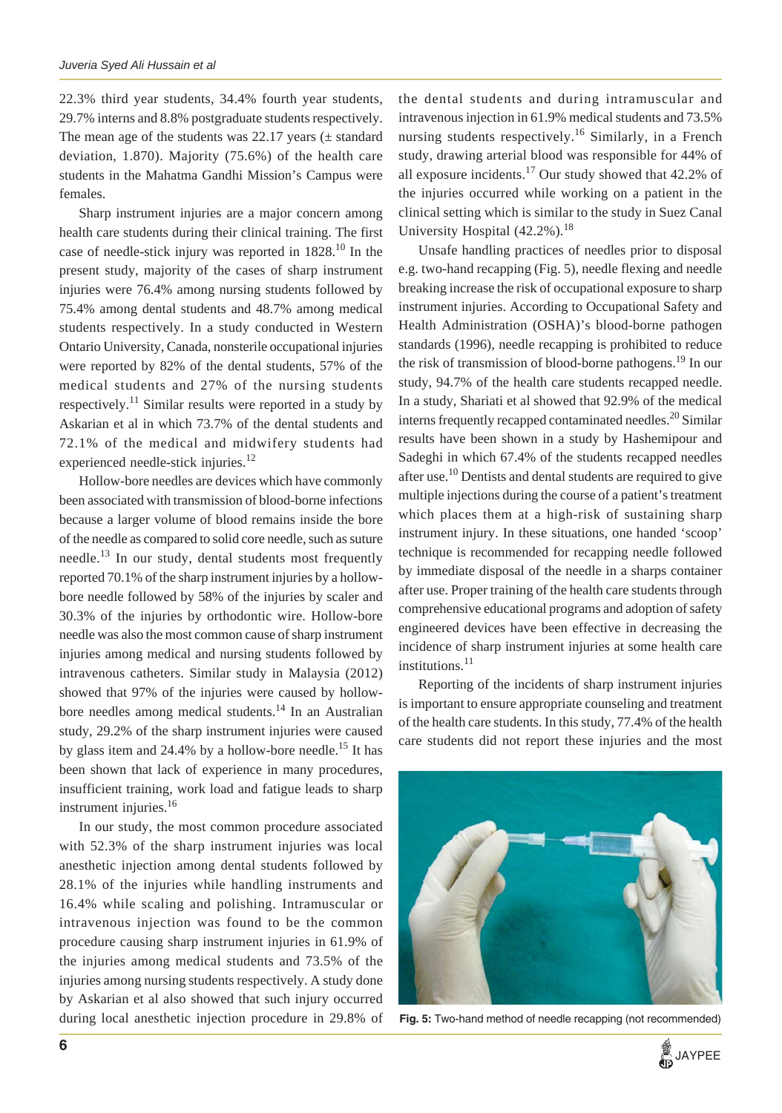22.3% third year students, 34.4% fourth year students, 29.7% interns and 8.8% postgraduate students respectively. The mean age of the students was 22.17 years  $(\pm$  standard deviation, 1.870). Majority (75.6%) of the health care students in the Mahatma Gandhi Mission's Campus were females.

Sharp instrument injuries are a major concern among health care students during their clinical training. The first case of needle-stick injury was reported in 1828.<sup>10</sup> In the present study, majority of the cases of sharp instrument injuries were 76.4% among nursing students followed by 75.4% among dental students and 48.7% among medical students respectively. In a study conducted in Western Ontario University, Canada, nonsterile occupational injuries were reported by 82% of the dental students, 57% of the medical students and 27% of the nursing students respectively.<sup>11</sup> Similar results were reported in a study by Askarian et al in which 73.7% of the dental students and 72.1% of the medical and midwifery students had experienced needle-stick injuries.<sup>12</sup>

Hollow-bore needles are devices which have commonly been associated with transmission of blood-borne infections because a larger volume of blood remains inside the bore of the needle as compared to solid core needle, such as suture needle.<sup>13</sup> In our study, dental students most frequently reported 70.1% of the sharp instrument injuries by a hollowbore needle followed by 58% of the injuries by scaler and 30.3% of the injuries by orthodontic wire. Hollow-bore needle was also the most common cause of sharp instrument injuries among medical and nursing students followed by intravenous catheters. Similar study in Malaysia (2012) showed that 97% of the injuries were caused by hollowbore needles among medical students.<sup>14</sup> In an Australian study, 29.2% of the sharp instrument injuries were caused by glass item and  $24.4\%$  by a hollow-bore needle.<sup>15</sup> It has been shown that lack of experience in many procedures, insufficient training, work load and fatigue leads to sharp instrument injuries.<sup>16</sup>

In our study, the most common procedure associated with 52.3% of the sharp instrument injuries was local anesthetic injection among dental students followed by 28.1% of the injuries while handling instruments and 16.4% while scaling and polishing. Intramuscular or intravenous injection was found to be the common procedure causing sharp instrument injuries in 61.9% of the injuries among medical students and 73.5% of the injuries among nursing students respectively. A study done by Askarian et al also showed that such injury occurred during local anesthetic injection procedure in 29.8% of

the dental students and during intramuscular and intravenous injection in 61.9% medical students and 73.5% nursing students respectively.<sup>16</sup> Similarly, in a French study, drawing arterial blood was responsible for 44% of all exposure incidents.<sup>17</sup> Our study showed that  $42.2\%$  of the injuries occurred while working on a patient in the clinical setting which is similar to the study in Suez Canal University Hospital  $(42.2\%)$ <sup>18</sup>

Unsafe handling practices of needles prior to disposal e.g. two-hand recapping (Fig. 5), needle flexing and needle breaking increase the risk of occupational exposure to sharp instrument injuries. According to Occupational Safety and Health Administration (OSHA)'s blood-borne pathogen standards (1996), needle recapping is prohibited to reduce the risk of transmission of blood-borne pathogens.<sup>19</sup> In our study, 94.7% of the health care students recapped needle. In a study, Shariati et al showed that 92.9% of the medical interns frequently recapped contaminated needles.<sup>20</sup> Similar results have been shown in a study by Hashemipour and Sadeghi in which 67.4% of the students recapped needles after use.<sup>10</sup> Dentists and dental students are required to give multiple injections during the course of a patient's treatment which places them at a high-risk of sustaining sharp instrument injury. In these situations, one handed 'scoop' technique is recommended for recapping needle followed by immediate disposal of the needle in a sharps container after use. Proper training of the health care students through comprehensive educational programs and adoption of safety engineered devices have been effective in decreasing the incidence of sharp instrument injuries at some health care institutions.<sup>11</sup>

Reporting of the incidents of sharp instrument injuries is important to ensure appropriate counseling and treatment of the health care students. In this study, 77.4% of the health care students did not report these injuries and the most



**Fig. 5:** Two-hand method of needle recapping (not recommended)

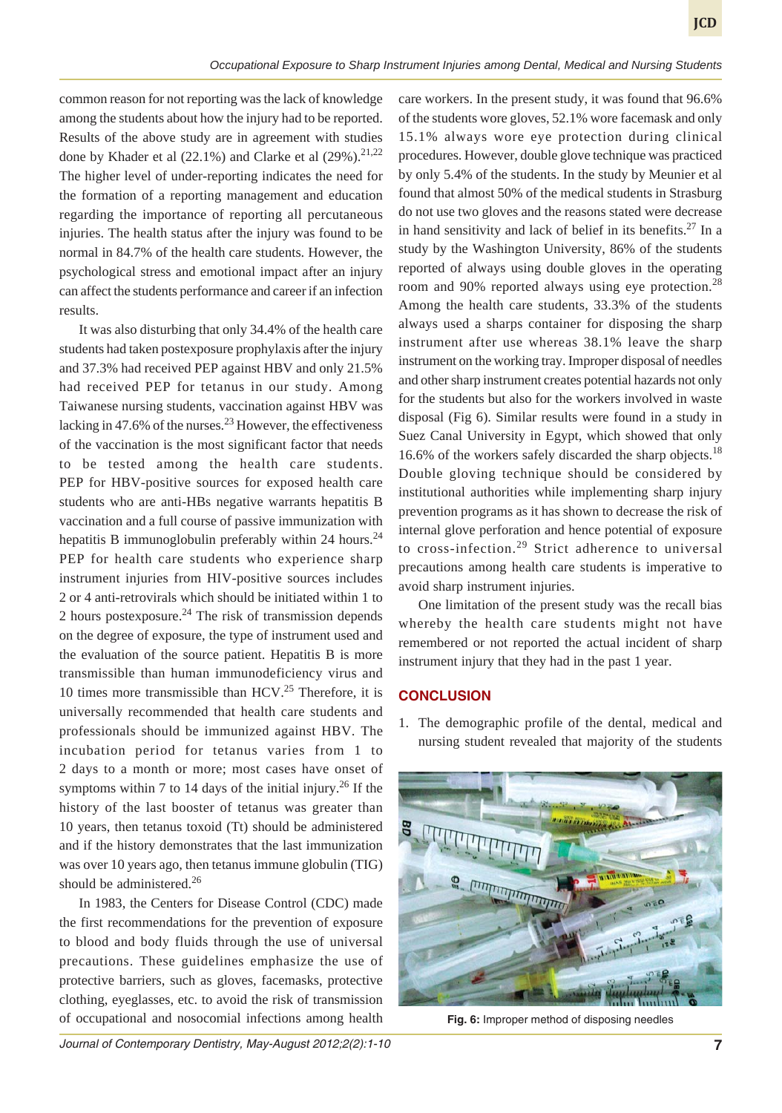common reason for not reporting was the lack of knowledge among the students about how the injury had to be reported. Results of the above study are in agreement with studies done by Khader et al  $(22.1\%)$  and Clarke et al  $(29\%)$ <sup>21,22</sup> The higher level of under-reporting indicates the need for the formation of a reporting management and education regarding the importance of reporting all percutaneous injuries. The health status after the injury was found to be normal in 84.7% of the health care students. However, the psychological stress and emotional impact after an injury can affect the students performance and career if an infection results.

It was also disturbing that only 34.4% of the health care students had taken postexposure prophylaxis after the injury and 37.3% had received PEP against HBV and only 21.5% had received PEP for tetanus in our study. Among Taiwanese nursing students, vaccination against HBV was lacking in  $47.6\%$  of the nurses.<sup>23</sup> However, the effectiveness of the vaccination is the most significant factor that needs to be tested among the health care students. PEP for HBV-positive sources for exposed health care students who are anti-HBs negative warrants hepatitis B vaccination and a full course of passive immunization with hepatitis B immunoglobulin preferably within 24 hours.<sup>24</sup> PEP for health care students who experience sharp instrument injuries from HIV-positive sources includes 2 or 4 anti-retrovirals which should be initiated within 1 to 2 hours postexposure. $^{24}$  The risk of transmission depends on the degree of exposure, the type of instrument used and the evaluation of the source patient. Hepatitis B is more transmissible than human immunodeficiency virus and 10 times more transmissible than HCV.<sup>25</sup> Therefore, it is universally recommended that health care students and professionals should be immunized against HBV. The incubation period for tetanus varies from 1 to 2 days to a month or more; most cases have onset of symptoms within 7 to 14 days of the initial injury.<sup>26</sup> If the history of the last booster of tetanus was greater than 10 years, then tetanus toxoid (Tt) should be administered and if the history demonstrates that the last immunization was over 10 years ago, then tetanus immune globulin (TIG) should be administered.<sup>26</sup>

In 1983, the Centers for Disease Control (CDC) made the first recommendations for the prevention of exposure to blood and body fluids through the use of universal precautions. These guidelines emphasize the use of protective barriers, such as gloves, facemasks, protective clothing, eyeglasses, etc. to avoid the risk of transmission of occupational and nosocomial infections among health

care workers. In the present study, it was found that 96.6% of the students wore gloves, 52.1% wore facemask and only 15.1% always wore eye protection during clinical procedures. However, double glove technique was practiced by only 5.4% of the students. In the study by Meunier et al found that almost 50% of the medical students in Strasburg do not use two gloves and the reasons stated were decrease in hand sensitivity and lack of belief in its benefits.<sup>27</sup> In a study by the Washington University, 86% of the students reported of always using double gloves in the operating room and 90% reported always using eye protection.<sup>28</sup> Among the health care students, 33.3% of the students always used a sharps container for disposing the sharp instrument after use whereas 38.1% leave the sharp instrument on the working tray. Improper disposal of needles and other sharp instrument creates potential hazards not only for the students but also for the workers involved in waste disposal (Fig 6). Similar results were found in a study in Suez Canal University in Egypt, which showed that only 16.6% of the workers safely discarded the sharp objects.<sup>18</sup> Double gloving technique should be considered by institutional authorities while implementing sharp injury prevention programs as it has shown to decrease the risk of internal glove perforation and hence potential of exposure to cross-infection.<sup>29</sup> Strict adherence to universal precautions among health care students is imperative to avoid sharp instrument injuries.

One limitation of the present study was the recall bias whereby the health care students might not have remembered or not reported the actual incident of sharp instrument injury that they had in the past 1 year.

#### **CONCLUSION**

1. The demographic profile of the dental, medical and nursing student revealed that majority of the students



**Fig. 6:** Improper method of disposing needles

*Journal of Contemporary Dentistry, May-August 2012;2(2):1-10* **7**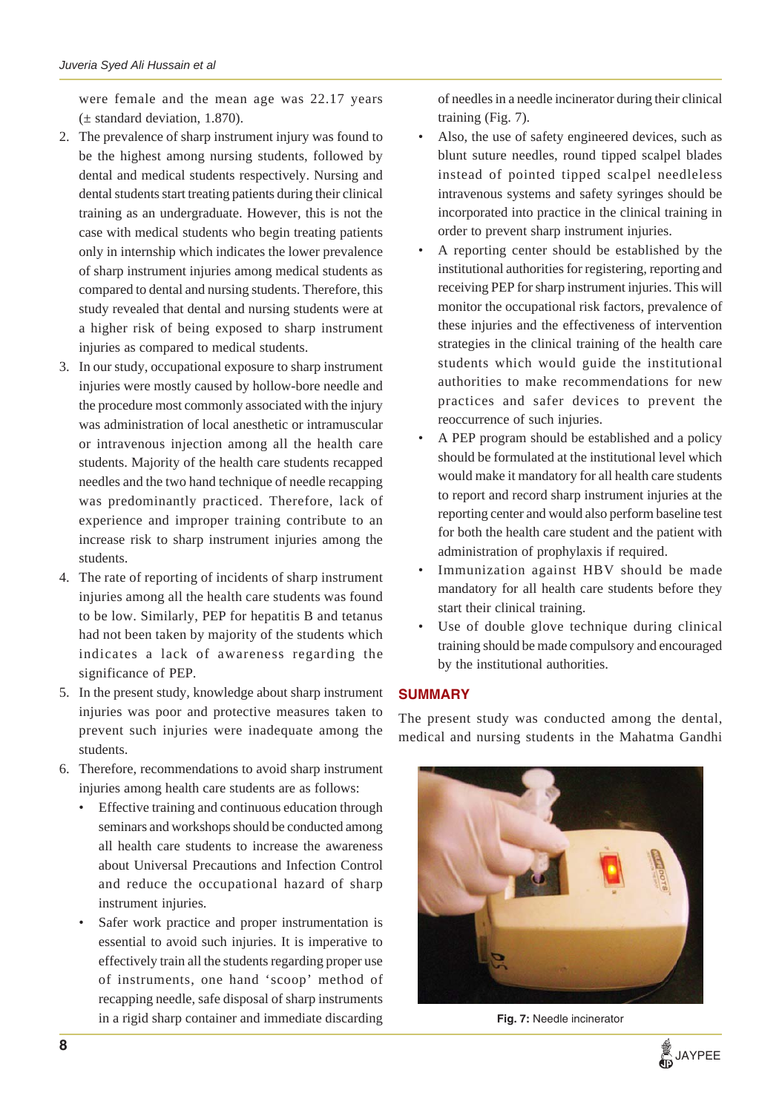were female and the mean age was 22.17 years  $(\pm$  standard deviation, 1.870).

- 2. The prevalence of sharp instrument injury was found to be the highest among nursing students, followed by dental and medical students respectively. Nursing and dental students start treating patients during their clinical training as an undergraduate. However, this is not the case with medical students who begin treating patients only in internship which indicates the lower prevalence of sharp instrument injuries among medical students as compared to dental and nursing students. Therefore, this study revealed that dental and nursing students were at a higher risk of being exposed to sharp instrument injuries as compared to medical students.
- 3. In our study, occupational exposure to sharp instrument injuries were mostly caused by hollow-bore needle and the procedure most commonly associated with the injury was administration of local anesthetic or intramuscular or intravenous injection among all the health care students. Majority of the health care students recapped needles and the two hand technique of needle recapping was predominantly practiced. Therefore, lack of experience and improper training contribute to an increase risk to sharp instrument injuries among the students.
- 4. The rate of reporting of incidents of sharp instrument injuries among all the health care students was found to be low. Similarly, PEP for hepatitis B and tetanus had not been taken by majority of the students which indicates a lack of awareness regarding the significance of PEP.
- 5. In the present study, knowledge about sharp instrument injuries was poor and protective measures taken to prevent such injuries were inadequate among the students.
- 6. Therefore, recommendations to avoid sharp instrument injuries among health care students are as follows:
	- Effective training and continuous education through seminars and workshops should be conducted among all health care students to increase the awareness about Universal Precautions and Infection Control and reduce the occupational hazard of sharp instrument injuries.
	- Safer work practice and proper instrumentation is essential to avoid such injuries. It is imperative to effectively train all the students regarding proper use of instruments, one hand 'scoop' method of recapping needle, safe disposal of sharp instruments in a rigid sharp container and immediate discarding **Fig. 7:** Needle incinerator

of needles in a needle incinerator during their clinical training (Fig. 7).

- Also, the use of safety engineered devices, such as blunt suture needles, round tipped scalpel blades instead of pointed tipped scalpel needleless intravenous systems and safety syringes should be incorporated into practice in the clinical training in order to prevent sharp instrument injuries.
- A reporting center should be established by the institutional authorities for registering, reporting and receiving PEP for sharp instrument injuries. This will monitor the occupational risk factors, prevalence of these injuries and the effectiveness of intervention strategies in the clinical training of the health care students which would guide the institutional authorities to make recommendations for new practices and safer devices to prevent the reoccurrence of such injuries.
- A PEP program should be established and a policy should be formulated at the institutional level which would make it mandatory for all health care students to report and record sharp instrument injuries at the reporting center and would also perform baseline test for both the health care student and the patient with administration of prophylaxis if required.
- Immunization against HBV should be made mandatory for all health care students before they start their clinical training.
- Use of double glove technique during clinical training should be made compulsory and encouraged by the institutional authorities.

# **SUMMARY**

The present study was conducted among the dental, medical and nursing students in the Mahatma Gandhi



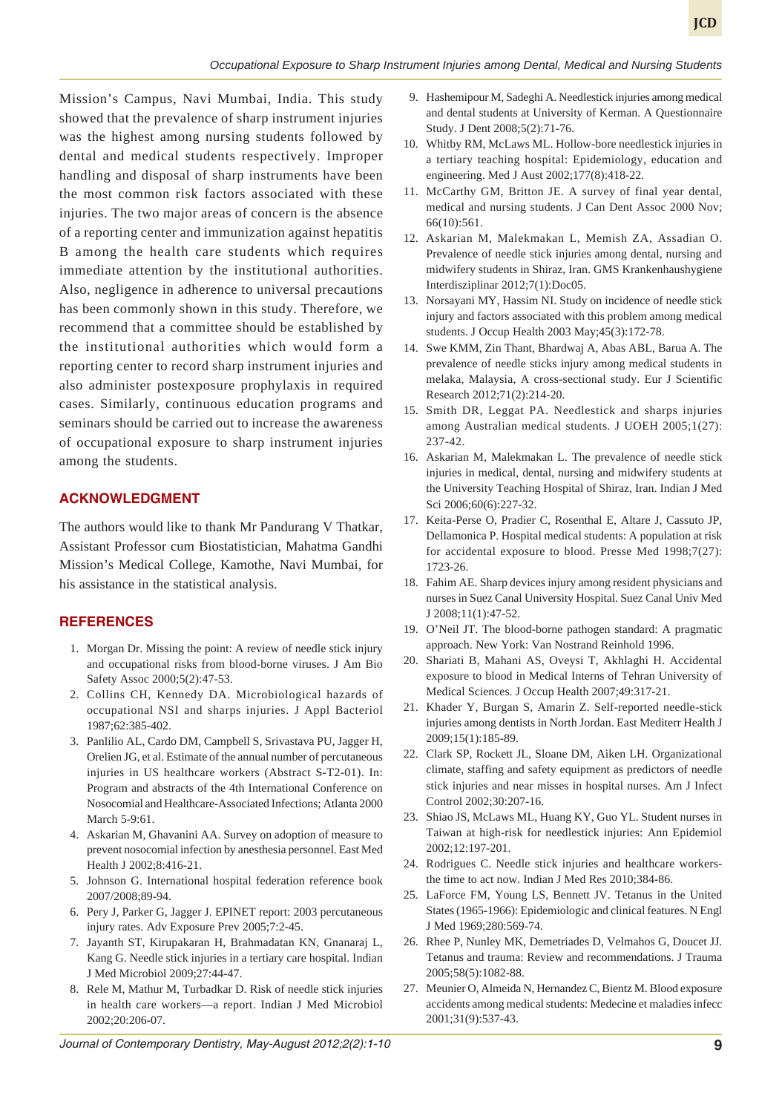Mission's Campus, Navi Mumbai, India. This study showed that the prevalence of sharp instrument injuries was the highest among nursing students followed by dental and medical students respectively. Improper handling and disposal of sharp instruments have been the most common risk factors associated with these injuries. The two major areas of concern is the absence of a reporting center and immunization against hepatitis B among the health care students which requires immediate attention by the institutional authorities. Also, negligence in adherence to universal precautions has been commonly shown in this study. Therefore, we recommend that a committee should be established by the institutional authorities which would form a reporting center to record sharp instrument injuries and also administer postexposure prophylaxis in required cases. Similarly, continuous education programs and seminars should be carried out to increase the awareness of occupational exposure to sharp instrument injuries among the students.

#### **ACKNOWLEDGMENT**

The authors would like to thank Mr Pandurang V Thatkar, Assistant Professor cum Biostatistician, Mahatma Gandhi Mission's Medical College, Kamothe, Navi Mumbai, for his assistance in the statistical analysis.

## **REFERENCES**

- 1. Morgan Dr. Missing the point: A review of needle stick injury and occupational risks from blood-borne viruses. J Am Bio Safety Assoc 2000;5(2):47-53.
- 2. Collins CH, Kennedy DA. Microbiological hazards of occupational NSI and sharps injuries. J Appl Bacteriol 1987;62:385-402.
- 3. Panlilio AL, Cardo DM, Campbell S, Srivastava PU, Jagger H, Orelien JG, et al. Estimate of the annual number of percutaneous injuries in US healthcare workers (Abstract S-T2-01). In: Program and abstracts of the 4th International Conference on Nosocomial and Healthcare-Associated Infections; Atlanta 2000 March 5-9:61.
- 4. Askarian M, Ghavanini AA. Survey on adoption of measure to prevent nosocomial infection by anesthesia personnel. East Med Health J 2002;8:416-21.
- 5. Johnson G. International hospital federation reference book 2007/2008;89-94.
- 6. Pery J, Parker G, Jagger J. EPINET report: 2003 percutaneous injury rates. Adv Exposure Prev 2005;7:2-45.
- 7. Jayanth ST, Kirupakaran H, Brahmadatan KN, Gnanaraj L, Kang G. Needle stick injuries in a tertiary care hospital. Indian J Med Microbiol 2009;27:44-47.
- 8. Rele M, Mathur M, Turbadkar D. Risk of needle stick injuries in health care workers—a report. Indian J Med Microbiol 2002;20:206-07.
- 9. Hashemipour M, Sadeghi A. Needlestick injuries among medical and dental students at University of Kerman. A Questionnaire Study. J Dent 2008;5(2):71-76.
- 10. Whitby RM, McLaws ML. Hollow-bore needlestick injuries in a tertiary teaching hospital: Epidemiology, education and engineering. Med J Aust 2002;177(8):418-22.
- 11. McCarthy GM, Britton JE. A survey of final year dental, medical and nursing students. J Can Dent Assoc 2000 Nov; 66(10):561.
- 12. Askarian M, Malekmakan L, Memish ZA, Assadian O. Prevalence of needle stick injuries among dental, nursing and midwifery students in Shiraz, Iran. GMS Krankenhaushygiene Interdisziplinar 2012;7(1):Doc05.
- 13. Norsayani MY, Hassim NI. Study on incidence of needle stick injury and factors associated with this problem among medical students. J Occup Health 2003 May;45(3):172-78.
- 14. Swe KMM, Zin Thant, Bhardwaj A, Abas ABL, Barua A. The prevalence of needle sticks injury among medical students in melaka, Malaysia, A cross-sectional study. Eur J Scientific Research 2012;71(2):214-20.
- 15. Smith DR, Leggat PA. Needlestick and sharps injuries among Australian medical students. J UOEH 2005;1(27): 237-42.
- 16. Askarian M, Malekmakan L. The prevalence of needle stick injuries in medical, dental, nursing and midwifery students at the University Teaching Hospital of Shiraz, Iran. Indian J Med Sci 2006;60(6):227-32.
- 17. Keita-Perse O, Pradier C, Rosenthal E, Altare J, Cassuto JP, Dellamonica P. Hospital medical students: A population at risk for accidental exposure to blood. Presse Med 1998;7(27): 1723-26.
- 18. Fahim AE. Sharp devices injury among resident physicians and nurses in Suez Canal University Hospital. Suez Canal Univ Med J 2008;11(1):47-52.
- 19. O'Neil JT. The blood-borne pathogen standard: A pragmatic approach. New York: Van Nostrand Reinhold 1996.
- 20. Shariati B, Mahani AS, Oveysi T, Akhlaghi H. Accidental exposure to blood in Medical Interns of Tehran University of Medical Sciences. J Occup Health 2007;49:317-21.
- 21. Khader Y, Burgan S, Amarin Z. Self-reported needle-stick injuries among dentists in North Jordan. East Mediterr Health J 2009;15(1):185-89.
- 22. Clark SP, Rockett JL, Sloane DM, Aiken LH. Organizational climate, staffing and safety equipment as predictors of needle stick injuries and near misses in hospital nurses. Am J Infect Control 2002;30:207-16.
- 23. Shiao JS, McLaws ML, Huang KY, Guo YL. Student nurses in Taiwan at high-risk for needlestick injuries: Ann Epidemiol 2002;12:197-201.
- 24. Rodrigues C. Needle stick injuries and healthcare workersthe time to act now. Indian J Med Res 2010;384-86.
- 25. LaForce FM, Young LS, Bennett JV. Tetanus in the United States (1965-1966): Epidemiologic and clinical features. N Engl J Med 1969;280:569-74.
- 26. Rhee P, Nunley MK, Demetriades D, Velmahos G, Doucet JJ. Tetanus and trauma: Review and recommendations. J Trauma 2005;58(5):1082-88.
- 27. Meunier O, Almeida N, Hernandez C, Bientz M. Blood exposure accidents among medical students: Medecine et maladies infecc 2001;31(9):537-43.